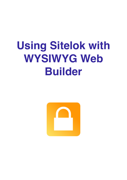# **Using Sitelok with WYSIWYG Web Builder**

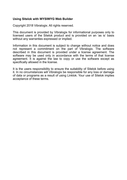#### **Using Sitelok with WYSIWYG Web Builder**

Copyright 2018 Vibralogix. All rights reserved.

This document is provided by Vibralogix for informational purposes only to licensed users of the Sitelok product and is provided on an 'as is' basis without any warranties expressed or implied.

Information in this document is subject to change without notice and does not represent a commitment on the part of Vibralogix. The software described in this document is provided under a license agreement. The software may be used only in accordance with the terms of that license agreement. It is against the law to copy or use the software except as specifically allowed in the license.

It is the users responsibility to ensure the suitability of Sitelok before using it. In no circumstances will Vibralogix be responsible for any loss or damage of data or programs as a result of using Linklok. Your use of Sitelok implies acceptance of these terms.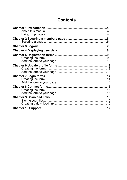# **Contents**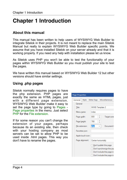# <span id="page-3-0"></span>**Chapter 1 Introduction**

# <span id="page-3-1"></span>**About this manual**

This manual has been written to help users of WYSIWYG Web Builder to integrate Sitelok in their projects. It is not meant to replace the main Sitelok Manual but really to explain WYSIWYG Web Builder specific points. We assume that you have installed Sitelok on your server already and that it is working properly. If you need any help with installation please let us know.

As Sitelok uses PHP you won't be able to test the functionality of your pages within WYSIWYG Web Builder so you must publish your site to test the pages.

We have written this manual based on WYSIWYG Web Builder 12 but other versions should have similar settings.

# <span id="page-3-2"></span>**Using .php pages**

Sitelok normally requires pages to have the php extension. PHP pages are exactly the same as HTML pages, just with a different page extension. WYSIWYG Web Builder make it easy to set the page type by going to Pages - Page properties in the menu. Just select PHP for the File extension.

If for some reason you can't change the extension of your pages, perhaps because its an existing site, then check with your hosting company as most servers can be set to allow PHP to be used inside .html pages. This way you don't have to rename the pages.

| <b>Page Properties</b> |                   |                       |   |                            |
|------------------------|-------------------|-----------------------|---|----------------------------|
| General                | Style             | Meta Tags             |   | Miscellaneous              |
| General                |                   |                       |   |                            |
| Title:                 |                   | <b>WWB</b> Template 2 |   |                            |
| Menu name:             |                   | index                 |   |                            |
| Page width:            |                   | 800                   | ÷ | <b>Target scre</b>         |
|                        | Page height:      | 788                   |   |                            |
|                        | File extension:   | php                   |   | Document t                 |
|                        | Favorites icon:   |                       |   |                            |
|                        | Apple touch icon: |                       |   |                            |
|                        | Page alignment:   | Center horizontally   |   |                            |
|                        |                   |                       |   | Don't publish this page    |
|                        |                   |                       |   | Don't synchronize this pay |
|                        |                   |                       |   | Don't include this page in |
|                        |                   |                       |   | Don't include this page in |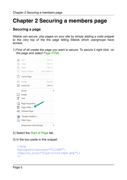# <span id="page-4-0"></span>**Chapter 2 Securing a members page**

### <span id="page-4-1"></span>**Securing a page**

Sitelok can secure .php pages on your site by simply adding a code snippet to the very top of the the page telling Sitelok which usergroups have access.

1) First of all create the page you want to secure. To secure it right click on the page and select Page HTML...

| ¥        | Cut              | $Ctrl+X$                                                                                                                                                                                                                             |
|----------|------------------|--------------------------------------------------------------------------------------------------------------------------------------------------------------------------------------------------------------------------------------|
| ĥ        | Copy             | $Ctrl + C$                                                                                                                                                                                                                           |
| ħ        | Paste            | $Ctrl + V$                                                                                                                                                                                                                           |
| 目        | Paste in Place   | Ctrl+Shift+V                                                                                                                                                                                                                         |
| ⊔∏       | Clone Page       |                                                                                                                                                                                                                                      |
| $\times$ | Delete           | Delete                                                                                                                                                                                                                               |
| 88       | Select All       | $Ctrl + A$                                                                                                                                                                                                                           |
|          | Insert           |                                                                                                                                                                                                                                      |
| Ľ        | Image            |                                                                                                                                                                                                                                      |
| т        | Text             |                                                                                                                                                                                                                                      |
| Ló       | Page Properties  | <b>Contract Contract Contract Contract Contract Contract Contract Contract Contract Contract Contract Contract Contract Contract Contract Contract Contract Contract Contract Contract Contract Contract Contract Contract Contr</b> |
| ₽        | Page HTML        |                                                                                                                                                                                                                                      |
| Ξþ       | Rename Page      |                                                                                                                                                                                                                                      |
| ыh       | Google Analytics |                                                                                                                                                                                                                                      |
| 油        | Meta Tags        |                                                                                                                                                                                                                                      |
|          |                  |                                                                                                                                                                                                                                      |

- 2) Select the Start of Page tab
- 3) In the box paste in this snippet.

```
<?php
$groupswithaccess="CLIENT";
require_once("slpw/sitelokpw.php");
?>
```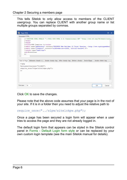This tells Sitelok to only allow access to members of the CLIENT usergroup. You can replace CLIENT with another group name or list multiple groups separated by commas.

| 92.<br>Page HTML                                                                                                                                                                                                                                                                                             | □<br>$\mathbf{x}$ |
|--------------------------------------------------------------------------------------------------------------------------------------------------------------------------------------------------------------------------------------------------------------------------------------------------------------|-------------------|
| Generated HTML:                                                                                                                                                                                                                                                                                              |                   |
| 1 DOCTYPE HTML PUBLIC "-//W3C//DTD HTML 4.01 Transitional//EN" "http://www.w3.org/TR/html4/loos A<br $2$ <html><br/>3<head><br/>4<title>WWB Template 2</title><br/>5<meta content="width=device-width, initial-scale=1.0" name="generator" viewport"=""/><br/>7<style type="text/css"></style></head></html> |                   |

Click OK to save the changes.

Please note that the above code assumes that your page is in the root of your site. If it is in a folder then you need to adjust the relative path to

```
require once("../slpw/sitelokpw.php");
```
Once a page has been secured a login form will appear when a user tries to access the page and they are not already logged in.

The default login form that appears can be styled in the Sitelok control panel in Forms - Default Login form style or can be replaced by your own custom login template (see the main Sitelok manual for details).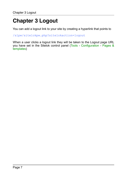# <span id="page-6-0"></span>**Chapter 3 Logout**

You can add a logout link to your site by creating a hyperlink that points to

/slpw/sitelokpw.php?sitelokaction=logout

When a user clicks a logout link they will be taken to the Logout page URL you have set in the Sitelok control panel (Tools - Configuration - Pages & templates)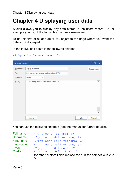# <span id="page-7-0"></span>**Chapter 4 Displaying user data**

Sitelok allows you to display any data stored in the users record. So for example you might like to display the users username.

To do this first of all add an HTML object to the page where you want the data to be displayed.

In the HTML box paste in the following snippet

<?php echo \$slusername; ?>

| <b>HTML Properties</b> |                                                            |    | $\Box$<br>×  |
|------------------------|------------------------------------------------------------|----|--------------|
| Description:           | Display usemame                                            |    | Resources    |
| Type:                  | Use <div> to set position and size of the HTML<br/>÷</div> |    |              |
| Overflow:              | Default<br>$\overline{\mathbf{v}}$                         |    |              |
| HTML:                  | 1 php echo \$slusername; ?                                 |    | ▴<br>╾       |
|                        | Import                                                     | OК | Cancel<br>Ħ. |

You can use the following snippets (see the manual for further details).

| Full name           | $\langle$ ?php echo \$slname; ?>  |                                                                |
|---------------------|-----------------------------------|----------------------------------------------------------------|
| Username            | php echo \$slusername; ?          |                                                                |
| First name          | php echo \$slfirstname; ?         |                                                                |
| Last name           | php echo \$sllastname; ?          |                                                                |
| Email               | $\langle$ ?php echo \$slemail; ?> |                                                                |
| Custom <sub>1</sub> | php echo \$slcustom1; ?           |                                                                |
|                     |                                   | for other custom fields replace the 1 in the snippet with 2 to |
|                     | 50.                               |                                                                |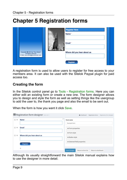# <span id="page-8-0"></span>**Chapter 5 Registration forms**

|                                                                                                    | <b>Register Here</b><br>Name <sup>*</sup> |  |
|----------------------------------------------------------------------------------------------------|-------------------------------------------|--|
|                                                                                                    | Email <sup>*</sup>                        |  |
| Copyright $\bigcirc$ 2014 by "Your Name"<br>All Rights reserved<br>E-Mail: yourname@yourdomain.com | Where did you hear about us               |  |
|                                                                                                    | <b>Register</b>                           |  |

A registration form is used to allow users to register for free access to your members area. It can also be used with the Sitelok Paypal plugin for paid access too.

## <span id="page-8-1"></span>**Creating the form**

In the Sitelok control panel go to Tools - Registration forms. Here you can either edit an existing form or create a new one. The form designer allows you to design and style the form as well as setting things like the usergroup to add the user to, the thank you page and also the email to be sent out.

When the form is how you want it click Save.

|    | Registration form designer form id:1 | <b>2</b> Dashboard > Registration forms > Registration form designer |  |
|----|--------------------------------------|----------------------------------------------------------------------|--|
| 区义 | Name <sup>*</sup>                    | ×<br>Form name                                                       |  |
|    |                                      | Example form                                                         |  |
| 区义 | Email <sup>*</sup>                   | + Form properties                                                    |  |
|    |                                      | + Form style                                                         |  |
| 区义 | Where did you hear about us          | + Button style                                                       |  |
|    | <b>Register</b>                      | + Selected field properties                                          |  |
|    | ÷                                    | <b>Save Changes</b><br>Return to form list<br>Return to dashboard    |  |

Although its usually straightforward the main Sitelok manual explains how to use the designer in more detail.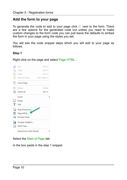## <span id="page-9-0"></span>**Add the form to your page**

To generate the code to add to your page click  $\Box$  next to the form. There are a few options for the generated code but unless you need to make custom changes to the form code you can just leave the defaults to embed the form in your page using the styles you set.

You will see the code snippet steps which you will add to your page as follows.

#### **Step 1**

Right click on the page and select Page HTML...



#### Select the Start of Page tab

In the box paste in the step 1 snippet.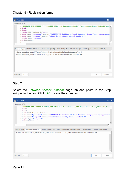#### Chapter 5 - Registration forms



#### **Step 2**

Select the Between <head> <head> tags tab and paste in the Step 2 snippet in the box. Click OK to save the changes.

| <sup>72</sup> Page HTML                                                                                                                                                                                                                                                                              | $\Box$<br>$\mathbf{x}$ |
|------------------------------------------------------------------------------------------------------------------------------------------------------------------------------------------------------------------------------------------------------------------------------------------------------|------------------------|
| Generated HTML:                                                                                                                                                                                                                                                                                      |                        |
| 1 HTML PUBLIC "-//W3C//DTD HTML 4.01 Transitional//EN" "http://www.w3.org/TR/html4/loos A<br $2$ <html><br/>3<head><br/>4<title>WWB Template 2</title><br/>5<meta content="width=device-width, initial-scale=1.0" name="generator" viewport"=""/><br/>7<style type="text/css"></style></head></html> |                        |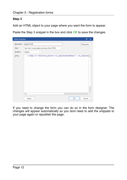#### **Step 3**

Add an HTML object to your page where you want the form to appear.

Paste the Step 3 snippet in the box and click OK to save the changes.



If you need to change the form you can do so in the form designer. The changes will appear automatically so you dont need to add the snippets to your page again or republish the page.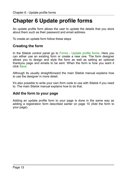# <span id="page-12-0"></span>**Chapter 6 Update profile forms**

An update profile form allows the user to update the details that you store about them such as their password and email address.

To create an update form follow these steps

### <span id="page-12-1"></span>**Creating the form**

In the Sitelok control panel go to Forms - Update profile forms. Here you can either use an existing form or create a new one. The form designer allows you to design and style the form as well as setting an optional thankyou page and emails to be sent. When the form is how you want it click Save.

Although its usually straightforward the main Sitelok manual explains how to use the designer in more detail.

It's also possible to write your own form code to use with Sitelok if you need to. The main Sitelok manual explains how to do that.

## <span id="page-12-2"></span>**Add the form to your page**

Adding an update profile form to your page is done in the same way as adding a registration form described earlier on page 10 (Add the form to your page).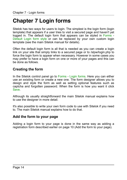# <span id="page-13-0"></span>**Chapter 7 Login forms**

Sitelok has two ways for users to login. The simplest is the login form (login template) that appears if a user tries to visit a secured page and haven't yet logged in. The default login form that appears can be styled in Forms - Default Login form style or can be replaced by your own custom login template (see the main Sitelok manual for details).

Often the default login form is all that is needed as you can create a login link on your site that simply links to a secured page or to /slpw/login.php to force the login form to appear when necessary. However in some cases you may prefer to have a login form on one or more of your pages and this can be done as follows.

### <span id="page-13-1"></span>**Creating the form**

In the Sitelok control panel go to Forms - Login forms. Here you can either use an existing form or create a new one. The form designer allows you to design and style the form as well as setting optional features such as captcha and forgotten password. When the form is how you want it click Save.

Although its usually straightforward the main Sitelok manual explains how to use the designer in more detail.

It's also possible to write your own form code to use with Sitelok if you need to. The main Sitelok manual explains how to do that.

### <span id="page-13-2"></span>**Add the form to your page**

Adding a login form to your page is done in the same way as adding a registration form described earlier on page 10 (Add the form to your page).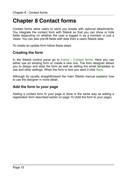# <span id="page-14-0"></span>**Chapter 8 Contact forms**

Contact forms allow users to send you emails with optional attachments. You integrate the contact form with Sitelok so that you can show or hide fields depending on whether the user is logged in as a member or just a visitor. You can also pre-fill fields with data from a users Sitelok data.

To create an update form follow these steps

### <span id="page-14-1"></span>**Creating the form**

In the Sitelok control panel go to Forms - Contact forms. Here you can either use an existing form or create a new one. The form designer allows you to design and style the form as well as setting the email templates to use and other settings. When the form is how you want it click Save.

Although its usually straightforward the main Sitelok manual explains how to use the designer in more detail.

### <span id="page-14-2"></span>**Add the form to your page**

Adding a contact form to your page is done in the same way as adding a registration form described earlier on page 10 (Add the form to your page).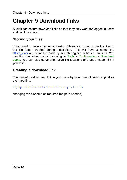# <span id="page-15-0"></span>**Chapter 9 Download links**

Sitelok can secure download links so that they only work for logged in users and can't be shared.

## <span id="page-15-1"></span>**Storing your files**

If you want to secure downloads using Sitelok you should store the files in the file folder created during installation. This will have a name like slfiles xxxx and won't be found by search engines, robots or hackers. You can find the folder name by going to Tools - Configuration - Download paths. You can also setup alternative file locations and use Amazon S3 if you wish.

### <span id="page-15-2"></span>**Creating a download link**

You can add a download link in your page by using the following snippet as the hyperlink.

<?php siteloklink('testfile.zip',1); ?>

changing the filename as required (no path needed).